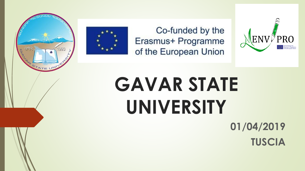



Co-funded by the Erasmus+ Programme of the European Union



# **GAVAR STATE UNIVERSITY**

**01/04/2019 TUSCIA**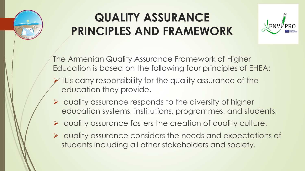

### **QUALITY ASSURANCE PRINCIPLES AND FRAMEWORK**



The Armenian Quality Assurance Framework of Higher Education is based on the following four principles of EHEA:

- ➢ TLIs carry responsibility for the quality assurance of the education they provide,
- ➢ quality assurance responds to the diversity of higher education systems, institutions, programmes, and students,
- ➢ quality assurance fosters the creation of quality culture,
- ➢ quality assurance considers the needs and expectations of students including all other stakeholders and society.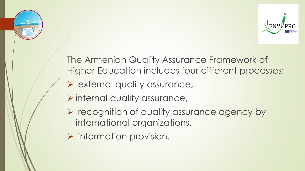



The Armenian Quality Assurance Framework of Higher Education includes four different processes:

- ➢ external quality assurance,
- ➢ internal quality assurance,
- ➢ recognition of quality assurance agency by international organizations,
- $\triangleright$  information provision.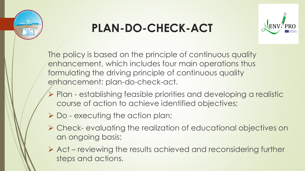

# **PLAN-DO-CHECK-ACT**



The policy is based on the principle of continuous quality enhancement, which includes four main operations thus formulating the driving principle of continuous quality enhancement: plan-do-check-act.

- ➢ Plan establishing feasible priorities and developing a realistic course of action to achieve identified objectives;
- ➢ Do executing the action plan;
- ➢ Check- evaluating the realization of educational objectives on an ongoing basis;
- ➢ Act reviewing the results achieved and reconsidering further steps and actions.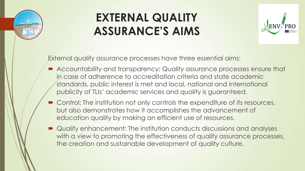

### **EXTERNAL QUALITY ASSURANCE'S AIMS**



External quality assurance processes have three essential aims:

- Accountability and transparency: Quality assurance processes ensure that in case of adherence to accreditation criteria and state academic standards, public interest is met and local, national and international publicity of TLIs' academic services and quality is guaranteed.
- Control: The institution not only controls the expenditure of its resources, but also demonstrates how it accomplishes the advancement of education quality by making an efficient use of resources.
- Quality enhancement: The institution conducts discussions and analyses with a view to promoting the effectiveness of quality assurance processes, the creation and sustainable development of quality culture.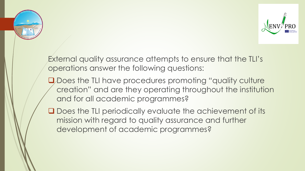



External quality assurance attempts to ensure that the TLI's operations answer the following questions:

- □ Does the TLI have procedures promoting "quality culture" creation" and are they operating throughout the institution and for all academic programmes?
- ❑ Does the TLI periodically evaluate the achievement of its mission with regard to quality assurance and further development of academic programmes?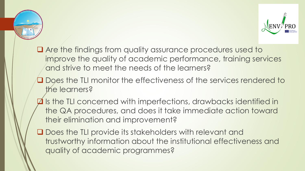



- Are the findings from quality assurance procedures used to improve the quality of academic performance, training services and strive to meet the needs of the learners?
- ❑ Does the TLI monitor the effectiveness of the services rendered to the learners?
- ❑ Is the TLI concerned with imperfections, drawbacks identified in the QA procedures, and does it take immediate action toward their elimination and improvement?
- ❑ Does the TLI provide its stakeholders with relevant and trustworthy information about the institutional effectiveness and quality of academic programmes?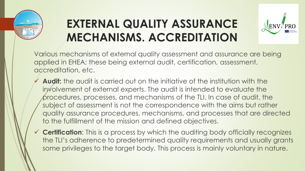

# **EXTERNAL QUALITY ASSURANCE MECHANISMS. ACCREDITATION**



Various mechanisms of external quality assessment and assurance are being applied in EHEA; these being external audit, certification, assessment, accreditation, etc.

- ◆ Audit: the audit is carried out on the initiative of the institution with the involvement of external experts. The audit is intended to evaluate the procedures, processes, and mechanisms of the TLI. In case of audit, the subject of assessment is not the correspondence with the aims but rather quality assurance procedures, mechanisms, and processes that are directed to the fulfillment of the mission and defined objectives.
- ✓ **Certification**: This is a process by which the auditing body officially recognizes the TLI's adherence to predetermined quality requirements and usually grants some privileges to the target body. This process is mainly voluntary in nature.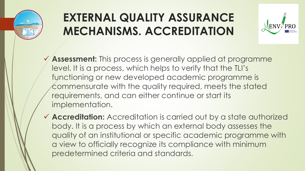

# **EXTERNAL QUALITY ASSURANCE MECHANISMS. ACCREDITATION**



- ✓ **Assessment:** This process is generally applied at programme level. It is a process, which helps to verify that the TLI's functioning or new developed academic programme is commensurate with the quality required, meets the stated requirements, and can either continue or start its implementation.
- ✓ **Accreditation:** Accreditation is carried out by a state authorized body. It is a process by which an external body assesses the quality of an institutional or specific academic programme with a view to officially recognize its compliance with minimum predetermined criteria and standards.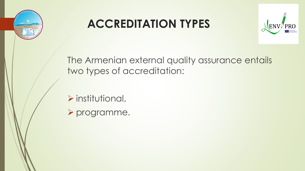

### **ACCREDITATION TYPES**



The Armenian external quality assurance entails two types of accreditation:

- ➢ institutional,
- ➢ programme.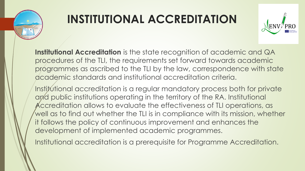

# **INSTITUTIONAL ACCREDITATION**



**Institutional Accreditation** is the state recognition of academic and QA procedures of the TLI, the requirements set forward towards academic programmes as ascribed to the TLI by the law, correspondence with state academic standards and institutional accreditation criteria.

Institutional accreditation is a regular mandatory process both for private and public institutions operating in the territory of the RA. Institutional Accreditation allows to evaluate the effectiveness of TLI operations, as well as to find out whether the TLI is in compliance with its mission, whether it follows the policy of continuous improvement and enhances the development of implemented academic programmes.

Institutional accreditation is a prerequisite for Programme Accreditation.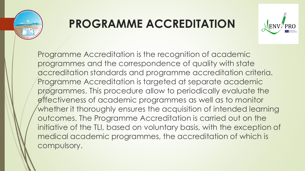

### **PROGRAMME ACCREDITATION**



Programme Accreditation is the recognition of academic programmes and the correspondence of quality with state accreditation standards and programme accreditation criteria. Programme Accreditation is targeted at separate academic programmes. This procedure allow to periodically evaluate the effectiveness of academic programmes as well as to monitor whether it thoroughly ensures the acquisition of intended learning outcomes. The Programme Accreditation is carried out on the initiative of the TLI, based on voluntary basis, with the exception of medical academic programmes, the accreditation of which is compulsory.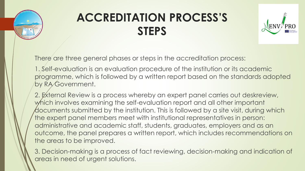

### **ACCREDITATION PROCESS'S STEPS**



There are three general phases or steps in the accreditation process:

1. Self-evaluation is an evaluation procedure of the institution or its academic programme, which is followed by a written report based on the standards adopted by RA Government.

2. External Review is a process whereby an expert panel carries out deskreview, which involves examining the self-evaluation report and all other important documents submitted by the institution. This is followed by a site visit, during which the expert panel members meet with institutional representatives in person: administrative and academic staff, students, graduates, employers and as an outcome, the panel prepares a written report, which includes recommendations on the areas to be improved.

3. Decision-making is a process of fact reviewing, decision-making and indication of areas in need of urgent solutions.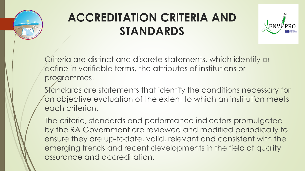

## **ACCREDITATION CRITERIA AND STANDARDS**



Criteria are distinct and discrete statements, which identify or define in verifiable terms, the attributes of institutions or programmes.

Standards are statements that identify the conditions necessary for an objective evaluation of the extent to which an institution meets each criterion.

The criteria, standards and performance indicators promulgated by the RA Government are reviewed and modified periodically to ensure they are up-todate, valid, relevant and consistent with the emerging trends and recent developments in the field of quality assurance and accreditation.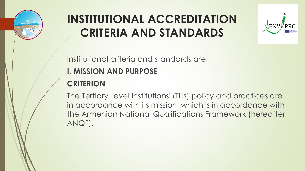

# **INSTITUTIONAL ACCREDITATION CRITERIA AND STANDARDS**



Institutional criteria and standards are:

#### **I. MISSION AND PURPOSE**

#### **CRITERION**

The Tertiary Level Institutions' (TLIs) policy and practices are in accordance with its mission, which is in accordance with the Armenian National Qualifications Framework (hereafter ANQF).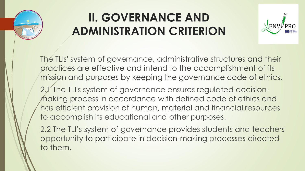

### **II. GOVERNANCE AND ADMINISTRATION CRITERION**



The TLIs' system of governance, administrative structures and their practices are effective and intend to the accomplishment of its mission and purposes by keeping the governance code of ethics.

2.*I* The TLI's system of governance ensures regulated decisionmaking process in accordance with defined code of ethics and has efficient provision of human, material and financial resources to accomplish its educational and other purposes.

2.2 The TLI's system of governance provides students and teachers opportunity to participate in decision-making processes directed to them.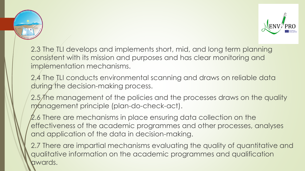



2.3 The TLI develops and implements short, mid, and long term planning consistent with its mission and purposes and has clear monitoring and implementation mechanisms.

2.4 The TLI conducts environmental scanning and draws on reliable data during the decision-making process.

2.5 The management of the policies and the processes draws on the quality management principle (plan-do-check-act).

2.6 There are mechanisms in place ensuring data collection on the effectiveness of the academic programmes and other processes, analyses and application of the data in decision-making.

2.7 There are impartial mechanisms evaluating the quality of quantitative and qualitative information on the academic programmes and qualification awards.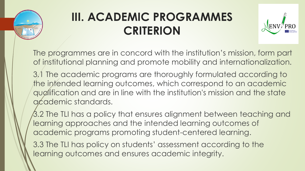

# **III. ACADEMIC PROGRAMMES CRITERION**



The programmes are in concord with the institution's mission, form part of institutional planning and promote mobility and internationalization.

3.1 The academic programs are thoroughly formulated according to the intended learning outcomes, which correspond to an academic qualification and are in line with the institution's mission and the state academic standards.

3.2 The TLI has a policy that ensures alignment between teaching and learning approaches and the intended learning outcomes of academic programs promoting student-centered learning.

3.3 The TLI has policy on students' assessment according to the learning outcomes and ensures academic integrity.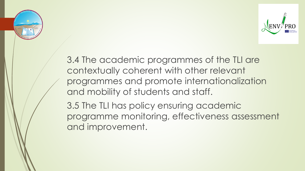



3.4 The academic programmes of the TLI are contextually coherent with other relevant programmes and promote internationalization and mobility of students and staff.

3.5 The TLI has policy ensuring academic programme monitoring, effectiveness assessment and improvement.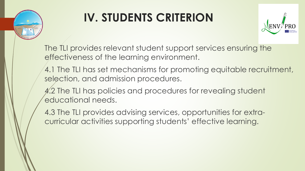

# **IV. STUDENTS CRITERION**



The TLI provides relevant student support services ensuring the effectiveness of the learning environment.

4.1 The TLI has set mechanisms for promoting equitable recruitment, selection, and admission procedures.

4.2 The TLI has policies and procedures for revealing student educational needs.

4.3 The TLI provides advising services, opportunities for extracurricular activities supporting students' effective learning.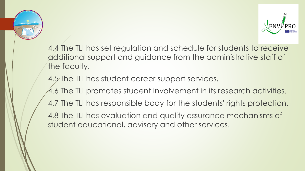



4.4 The TLI has set regulation and schedule for students to receive additional support and guidance from the administrative staff of the faculty.

4.5 The TLI has student career support services.

4.6 The TLI promotes student involvement in its research activities.

4.7 The TLI has responsible body for the students' rights protection.

4.8 The TLI has evaluation and quality assurance mechanisms of student educational, advisory and other services.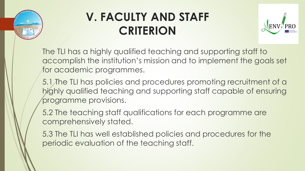

### **V. FACULTY AND STAFF CRITERION**



The TLI has a highly qualified teaching and supporting staff to accomplish the institution's mission and to implement the goals set for academic programmes.

5.1 The TLI has policies and procedures promoting recruitment of a highly qualified teaching and supporting staff capable of ensuring programme provisions.

5.2 The teaching staff qualifications for each programme are comprehensively stated.

5.3 The TLI has well established policies and procedures for the periodic evaluation of the teaching staff.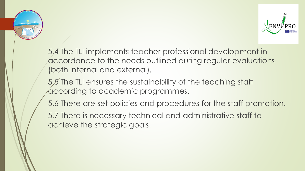



5.4 The TLI implements teacher professional development in accordance to the needs outlined during regular evaluations (both internal and external).

5.5 The TLI ensures the sustainability of the teaching staff according to academic programmes.

5.6 There are set policies and procedures for the staff promotion.

5.7 There is necessary technical and administrative staff to achieve the strategic goals.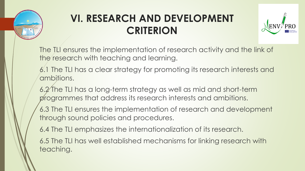

### **VI. RESEARCH AND DEVELOPMENT CRITERION**



The TLI ensures the implementation of research activity and the link of the research with teaching and learning.

- 6.1 The TLI has a clear strategy for promoting its research interests and ambitions.
- 6.2 The TLI has a long-term strategy as well as mid and short-term programmes that address its research interests and ambitions.
- 6.3 The TLI ensures the implementation of research and development through sound policies and procedures.
- 6.4 The TLI emphasizes the internationalization of its research.
- 6.5 The TLI has well established mechanisms for linking research with teaching.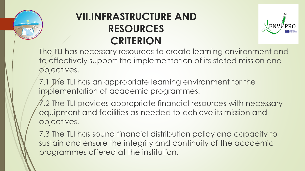

### **VII.INFRASTRUCTURE AND RESOURCES CRITERION**



The TLI has necessary resources to create learning environment and to effectively support the implementation of its stated mission and objectives.

7.1 The TLI has an appropriate learning environment for the implementation of academic programmes.

7.2 The TLI provides appropriate financial resources with necessary equipment and facilities as needed to achieve its mission and objectives.

7.3 The TLI has sound financial distribution policy and capacity to sustain and ensure the integrity and continuity of the academic programmes offered at the institution.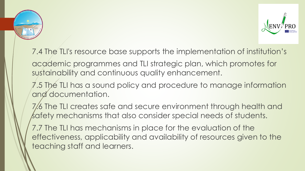



- 7.4 The TLI's resource base supports the implementation of institution's
- academic programmes and TLI strategic plan, which promotes for sustainability and continuous quality enhancement.
- 7.5 The TLI has a sound policy and procedure to manage information and documentation.
- 7.6 The TLI creates safe and secure environment through health and safety mechanisms that also consider special needs of students.
- 7.7 The TLI has mechanisms in place for the evaluation of the effectiveness, applicability and availability of resources given to the teaching staff and learners.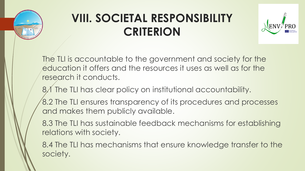

# **VIII. SOCIETAL RESPONSIBILITY CRITERION**



The TLI is accountable to the government and society for the education it offers and the resources it uses as well as for the research it conducts.

8.1 The TLI has clear policy on institutional accountability.

8.2 The TLI ensures transparency of its procedures and processes and makes them publicly available.

8.3 The TLI has sustainable feedback mechanisms for establishing relations with society.

8.4 The TLI has mechanisms that ensure knowledge transfer to the society.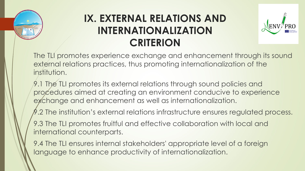

### **IX. EXTERNAL RELATIONS AND INTERNATIONALIZATION CRITERION**



The TLI promotes experience exchange and enhancement through its sound external relations practices, thus promoting internationalization of the institution.

9.1 The TLI promotes its external relations through sound policies and procedures aimed at creating an environment conducive to experience exchange and enhancement as well as internationalization.

A.2 The institution's external relations infrastructure ensures regulated process.

9.3 The TLI promotes fruitful and effective collaboration with local and international counterparts.

9.4 The TLI ensures internal stakeholders' appropriate level of a foreign language to enhance productivity of internationalization.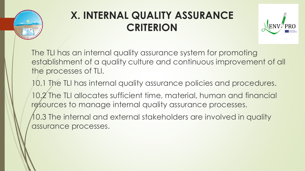

### **X. INTERNAL QUALITY ASSURANCE CRITERION**



The TLI has an internal quality assurance system for promoting establishment of a quality culture and continuous improvement of all the processes of TLI.

10.1 The TLI has internal quality assurance policies and procedures. 10.2 The TLI allocates sufficient time, material, human and financial resources to manage internal quality assurance processes.

10.3 The internal and external stakeholders are involved in quality assurance processes.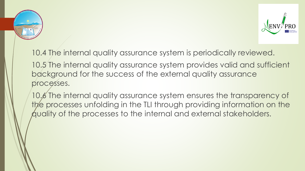



10.4 The internal quality assurance system is periodically reviewed. 10.5 The internal quality assurance system provides valid and sufficient

background for the success of the external quality assurance processes.

10.6 The internal quality assurance system ensures the transparency of the processes unfolding in the TLI through providing information on the quality of the processes to the internal and external stakeholders.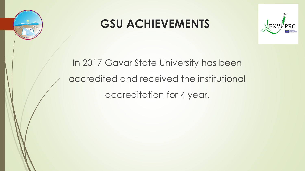

### **GSU ACHIEVEMENTS**



### In 2017 Gavar State University has been accredited and received the institutional accreditation for 4 year.